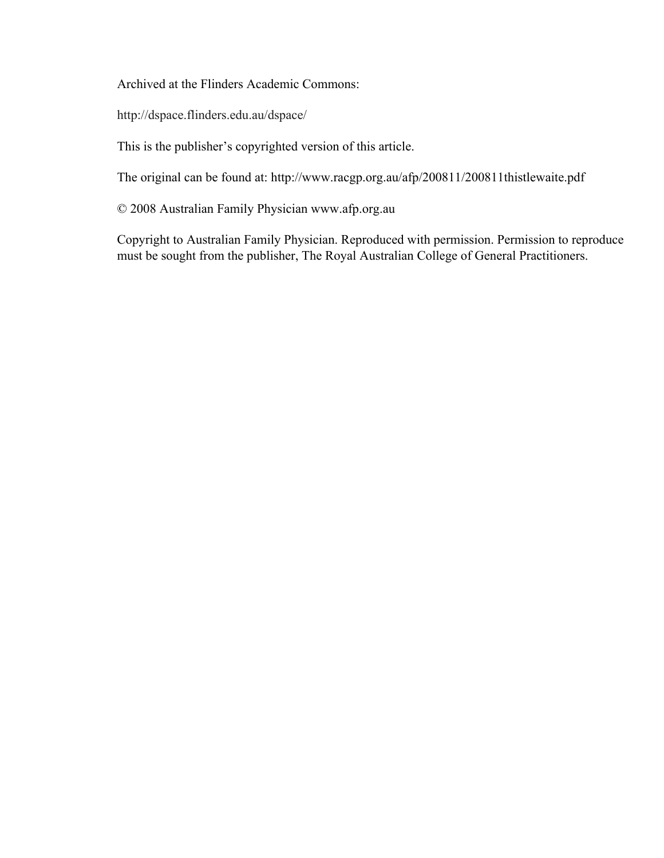Archived at the Flinders Academic Commons:

http://dspace.flinders.edu.au/dspace/

This is the publisher's copyrighted version of this article.

The original can be found at: http://www.racgp.org.au/afp/200811/200811thistlewaite.pdf

© 2008 Australian Family Physician www.afp.org.au

Copyright to Australian Family Physician. Reproduced with permission. Permission to reproduce must be sought from the publisher, The Royal Australian College of General Practitioners.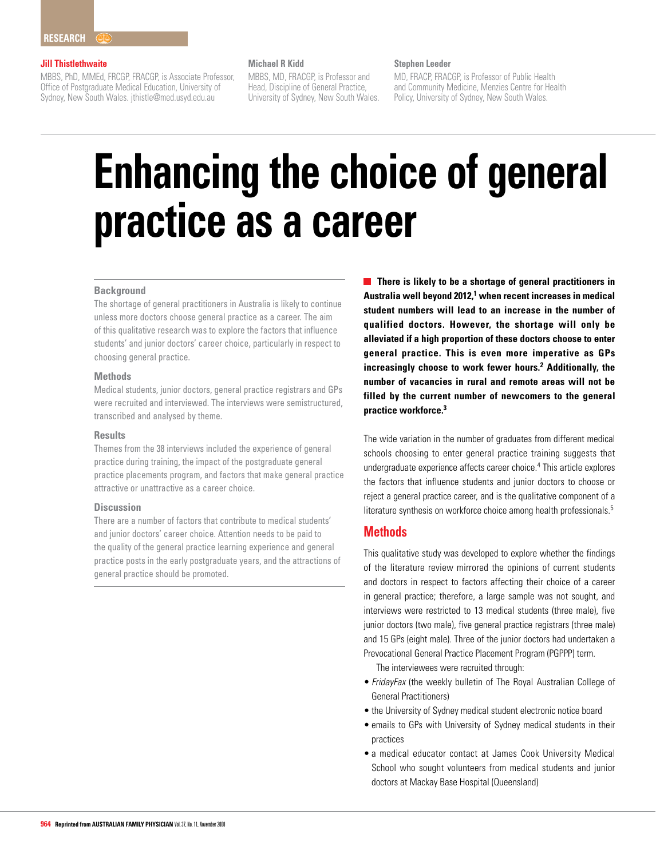#### **Jill Thistlethwaite**

MBBS, PhD, MMEd, FRCGP, FRACGP, is Associate Professor, Office of Postgraduate Medical Education, University of Sydney, New South Wales. jthistle@med.usyd.edu.au

#### **Michael R Kidd**

MBBS, MD, FRACGP, is Professor and Head, Discipline of General Practice, University of Sydney, New South Wales.

## **Stephen Leeder**

MD, FRACP, FRACGP, is Professor of Public Health and Community Medicine, Menzies Centre for Health Policy, University of Sydney, New South Wales.

# **Enhancing the choice of general practice as a career**

#### **Background**

The shortage of general practitioners in Australia is likely to continue unless more doctors choose general practice as a career. The aim of this qualitative research was to explore the factors that influence students' and junior doctors' career choice, particularly in respect to choosing general practice.

## **Methods**

Medical students, junior doctors, general practice registrars and GPs were recruited and interviewed. The interviews were semistructured, transcribed and analysed by theme.

#### **Results**

Themes from the 38 interviews included the experience of general practice during training, the impact of the postgraduate general practice placements program, and factors that make general practice attractive or unattractive as a career choice.

#### **Discussion**

There are a number of factors that contribute to medical students' and junior doctors' career choice. Attention needs to be paid to the quality of the general practice learning experience and general practice posts in the early postgraduate years, and the attractions of general practice should be promoted.

**There is likely to be a shortage of general practitioners in Australia well beyond 2012,1 when recent increases in medical student numbers will lead to an increase in the number of qualified doctors. However, the shortage will only be alleviated if a high proportion of these doctors choose to enter general practice. This is even more imperative as GPs increasingly choose to work fewer hours.2 Additionally, the number of vacancies in rural and remote areas will not be filled by the current number of newcomers to the general practice workforce.3**

The wide variation in the number of graduates from different medical schools choosing to enter general practice training suggests that undergraduate experience affects career choice.<sup>4</sup> This article explores the factors that influence students and junior doctors to choose or reject a general practice career, and is the qualitative component of a literature synthesis on workforce choice among health professionals.<sup>5</sup>

# **Methods**

This qualitative study was developed to explore whether the findings of the literature review mirrored the opinions of current students and doctors in respect to factors affecting their choice of a career in general practice; therefore, a large sample was not sought, and interviews were restricted to 13 medical students (three male), five junior doctors (two male), five general practice registrars (three male) and 15 GPs (eight male). Three of the junior doctors had undertaken a Prevocational General Practice Placement Program (PGPPP) term.

The interviewees were recruited through:

- FridayFax (the weekly bulletin of The Royal Australian College of General Practitioners)
- the University of Sydney medical student electronic notice board
- emails to GPs with University of Sydney medical students in their practices
- a medical educator contact at James Cook University Medical School who sought volunteers from medical students and junior doctors at Mackay Base Hospital (Queensland)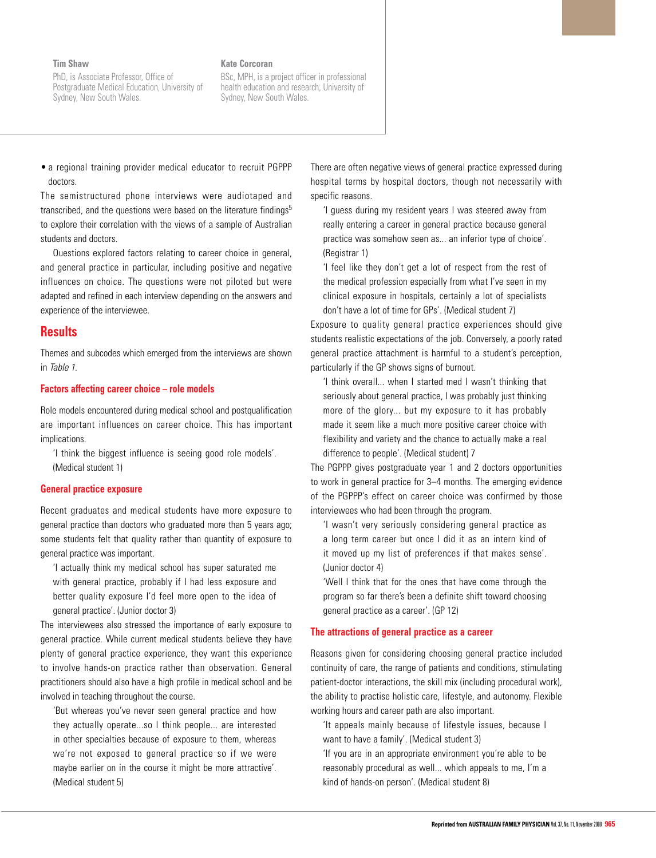#### **Tim Shaw**

PhD, is Associate Professor, Office of Postgraduate Medical Education, University of Sydney, New South Wales.

#### **Kate Corcoran**

BSc, MPH, is a project officer in professional health education and research, University of Sydney, New South Wales.

• a regional training provider medical educator to recruit PGPPP doctors.

The semistructured phone interviews were audiotaped and transcribed, and the questions were based on the literature findings<sup>5</sup> to explore their correlation with the views of a sample of Australian students and doctors.

 Questions explored factors relating to career choice in general, and general practice in particular, including positive and negative influences on choice. The questions were not piloted but were adapted and refined in each interview depending on the answers and experience of the interviewee.

## **Results**

Themes and subcodes which emerged from the interviews are shown in Table 1.

#### **Factors affecting career choice – role models**

Role models encountered during medical school and postqualification are important influences on career choice. This has important implications.

'I think the biggest influence is seeing good role models'. (Medical student 1)

#### **General practice exposure**

Recent graduates and medical students have more exposure to general practice than doctors who graduated more than 5 years ago; some students felt that quality rather than quantity of exposure to general practice was important.

'I actually think my medical school has super saturated me with general practice, probably if I had less exposure and better quality exposure I'd feel more open to the idea of general practice'. (Junior doctor 3)

The interviewees also stressed the importance of early exposure to general practice. While current medical students believe they have plenty of general practice experience, they want this experience to involve hands-on practice rather than observation. General practitioners should also have a high profile in medical school and be involved in teaching throughout the course.

'But whereas you've never seen general practice and how they actually operate...so I think people... are interested in other specialties because of exposure to them, whereas we're not exposed to general practice so if we were maybe earlier on in the course it might be more attractive'. (Medical student 5)

There are often negative views of general practice expressed during hospital terms by hospital doctors, though not necessarily with specific reasons.

'I guess during my resident years I was steered away from really entering a career in general practice because general practice was somehow seen as... an inferior type of choice'. (Registrar 1)

'I feel like they don't get a lot of respect from the rest of the medical profession especially from what I've seen in my clinical exposure in hospitals, certainly a lot of specialists don't have a lot of time for GPs'. (Medical student 7)

Exposure to quality general practice experiences should give students realistic expectations of the job. Conversely, a poorly rated general practice attachment is harmful to a student's perception, particularly if the GP shows signs of burnout.

'I think overall... when I started med I wasn't thinking that seriously about general practice, I was probably just thinking more of the glory... but my exposure to it has probably made it seem like a much more positive career choice with flexibility and variety and the chance to actually make a real difference to people'. (Medical student) 7

The PGPPP gives postgraduate year 1 and 2 doctors opportunities to work in general practice for 3–4 months. The emerging evidence of the PGPPP's effect on career choice was confirmed by those interviewees who had been through the program.

'I wasn't very seriously considering general practice as a long term career but once I did it as an intern kind of it moved up my list of preferences if that makes sense'. (Junior doctor 4)

'Well I think that for the ones that have come through the program so far there's been a definite shift toward choosing general practice as a career'. (GP 12)

#### **The attractions of general practice as a career**

Reasons given for considering choosing general practice included continuity of care, the range of patients and conditions, stimulating patient-doctor interactions, the skill mix (including procedural work), the ability to practise holistic care, lifestyle, and autonomy. Flexible working hours and career path are also important.

'It appeals mainly because of lifestyle issues, because I want to have a family'. (Medical student 3)

'If you are in an appropriate environment you're able to be reasonably procedural as well... which appeals to me, I'm a kind of hands-on person'. (Medical student 8)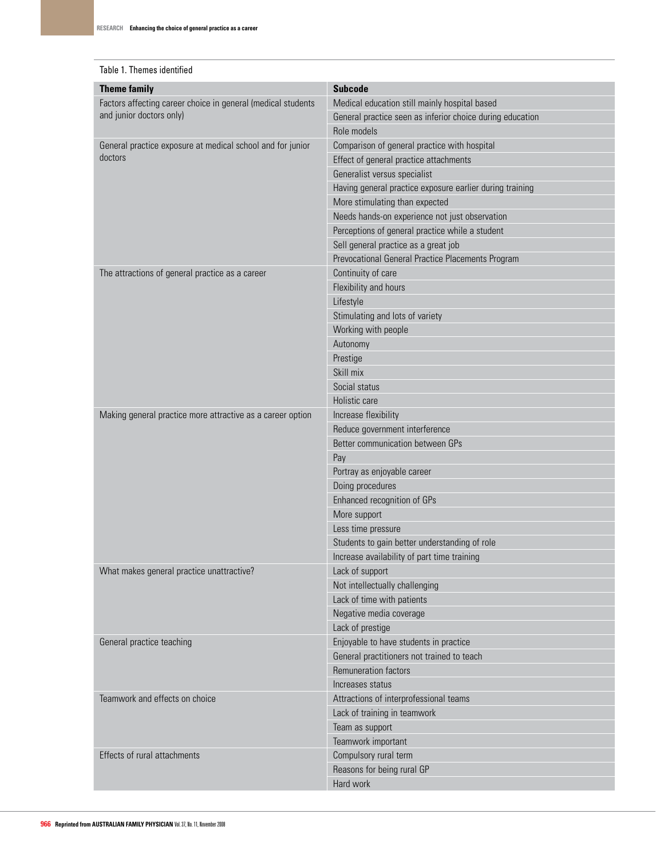## Table 1. Themes identified

| Factors affecting career choice in general (medical students<br>Medical education still mainly hospital based<br>and junior doctors only)<br>General practice seen as inferior choice during education<br>Role models<br>Comparison of general practice with hospital<br>General practice exposure at medical school and for junior<br>doctors<br>Effect of general practice attachments<br>Generalist versus specialist<br>Having general practice exposure earlier during training<br>More stimulating than expected<br>Needs hands-on experience not just observation<br>Perceptions of general practice while a student<br>Sell general practice as a great job<br>Prevocational General Practice Placements Program<br>Continuity of care<br>The attractions of general practice as a career<br>Flexibility and hours<br>Lifestyle<br>Stimulating and lots of variety<br>Working with people<br>Autonomy<br>Prestige<br>Skill mix<br>Social status<br>Holistic care<br>Increase flexibility<br>Making general practice more attractive as a career option<br>Reduce government interference<br>Better communication between GPs<br>Pay<br>Portray as enjoyable career<br>Doing procedures<br>Enhanced recognition of GPs<br>More support<br>Less time pressure<br>Students to gain better understanding of role<br>Increase availability of part time training<br>What makes general practice unattractive?<br>Lack of support<br>Not intellectually challenging<br>Lack of time with patients<br>Negative media coverage<br>Lack of prestige<br>Enjoyable to have students in practice<br>General practice teaching<br>General practitioners not trained to teach<br>Remuneration factors<br>Increases status<br>Teamwork and effects on choice<br>Attractions of interprofessional teams<br>Lack of training in teamwork<br>Team as support<br>Teamwork important<br>Effects of rural attachments<br>Compulsory rural term<br>Reasons for being rural GP<br>Hard work | <b>Theme family</b> | <b>Subcode</b> |
|------------------------------------------------------------------------------------------------------------------------------------------------------------------------------------------------------------------------------------------------------------------------------------------------------------------------------------------------------------------------------------------------------------------------------------------------------------------------------------------------------------------------------------------------------------------------------------------------------------------------------------------------------------------------------------------------------------------------------------------------------------------------------------------------------------------------------------------------------------------------------------------------------------------------------------------------------------------------------------------------------------------------------------------------------------------------------------------------------------------------------------------------------------------------------------------------------------------------------------------------------------------------------------------------------------------------------------------------------------------------------------------------------------------------------------------------------------------------------------------------------------------------------------------------------------------------------------------------------------------------------------------------------------------------------------------------------------------------------------------------------------------------------------------------------------------------------------------------------------------------------------------------------------------------------------------------------------------------------|---------------------|----------------|
|                                                                                                                                                                                                                                                                                                                                                                                                                                                                                                                                                                                                                                                                                                                                                                                                                                                                                                                                                                                                                                                                                                                                                                                                                                                                                                                                                                                                                                                                                                                                                                                                                                                                                                                                                                                                                                                                                                                                                                              |                     |                |
|                                                                                                                                                                                                                                                                                                                                                                                                                                                                                                                                                                                                                                                                                                                                                                                                                                                                                                                                                                                                                                                                                                                                                                                                                                                                                                                                                                                                                                                                                                                                                                                                                                                                                                                                                                                                                                                                                                                                                                              |                     |                |
|                                                                                                                                                                                                                                                                                                                                                                                                                                                                                                                                                                                                                                                                                                                                                                                                                                                                                                                                                                                                                                                                                                                                                                                                                                                                                                                                                                                                                                                                                                                                                                                                                                                                                                                                                                                                                                                                                                                                                                              |                     |                |
|                                                                                                                                                                                                                                                                                                                                                                                                                                                                                                                                                                                                                                                                                                                                                                                                                                                                                                                                                                                                                                                                                                                                                                                                                                                                                                                                                                                                                                                                                                                                                                                                                                                                                                                                                                                                                                                                                                                                                                              |                     |                |
|                                                                                                                                                                                                                                                                                                                                                                                                                                                                                                                                                                                                                                                                                                                                                                                                                                                                                                                                                                                                                                                                                                                                                                                                                                                                                                                                                                                                                                                                                                                                                                                                                                                                                                                                                                                                                                                                                                                                                                              |                     |                |
|                                                                                                                                                                                                                                                                                                                                                                                                                                                                                                                                                                                                                                                                                                                                                                                                                                                                                                                                                                                                                                                                                                                                                                                                                                                                                                                                                                                                                                                                                                                                                                                                                                                                                                                                                                                                                                                                                                                                                                              |                     |                |
|                                                                                                                                                                                                                                                                                                                                                                                                                                                                                                                                                                                                                                                                                                                                                                                                                                                                                                                                                                                                                                                                                                                                                                                                                                                                                                                                                                                                                                                                                                                                                                                                                                                                                                                                                                                                                                                                                                                                                                              |                     |                |
|                                                                                                                                                                                                                                                                                                                                                                                                                                                                                                                                                                                                                                                                                                                                                                                                                                                                                                                                                                                                                                                                                                                                                                                                                                                                                                                                                                                                                                                                                                                                                                                                                                                                                                                                                                                                                                                                                                                                                                              |                     |                |
|                                                                                                                                                                                                                                                                                                                                                                                                                                                                                                                                                                                                                                                                                                                                                                                                                                                                                                                                                                                                                                                                                                                                                                                                                                                                                                                                                                                                                                                                                                                                                                                                                                                                                                                                                                                                                                                                                                                                                                              |                     |                |
|                                                                                                                                                                                                                                                                                                                                                                                                                                                                                                                                                                                                                                                                                                                                                                                                                                                                                                                                                                                                                                                                                                                                                                                                                                                                                                                                                                                                                                                                                                                                                                                                                                                                                                                                                                                                                                                                                                                                                                              |                     |                |
|                                                                                                                                                                                                                                                                                                                                                                                                                                                                                                                                                                                                                                                                                                                                                                                                                                                                                                                                                                                                                                                                                                                                                                                                                                                                                                                                                                                                                                                                                                                                                                                                                                                                                                                                                                                                                                                                                                                                                                              |                     |                |
|                                                                                                                                                                                                                                                                                                                                                                                                                                                                                                                                                                                                                                                                                                                                                                                                                                                                                                                                                                                                                                                                                                                                                                                                                                                                                                                                                                                                                                                                                                                                                                                                                                                                                                                                                                                                                                                                                                                                                                              |                     |                |
|                                                                                                                                                                                                                                                                                                                                                                                                                                                                                                                                                                                                                                                                                                                                                                                                                                                                                                                                                                                                                                                                                                                                                                                                                                                                                                                                                                                                                                                                                                                                                                                                                                                                                                                                                                                                                                                                                                                                                                              |                     |                |
|                                                                                                                                                                                                                                                                                                                                                                                                                                                                                                                                                                                                                                                                                                                                                                                                                                                                                                                                                                                                                                                                                                                                                                                                                                                                                                                                                                                                                                                                                                                                                                                                                                                                                                                                                                                                                                                                                                                                                                              |                     |                |
|                                                                                                                                                                                                                                                                                                                                                                                                                                                                                                                                                                                                                                                                                                                                                                                                                                                                                                                                                                                                                                                                                                                                                                                                                                                                                                                                                                                                                                                                                                                                                                                                                                                                                                                                                                                                                                                                                                                                                                              |                     |                |
|                                                                                                                                                                                                                                                                                                                                                                                                                                                                                                                                                                                                                                                                                                                                                                                                                                                                                                                                                                                                                                                                                                                                                                                                                                                                                                                                                                                                                                                                                                                                                                                                                                                                                                                                                                                                                                                                                                                                                                              |                     |                |
|                                                                                                                                                                                                                                                                                                                                                                                                                                                                                                                                                                                                                                                                                                                                                                                                                                                                                                                                                                                                                                                                                                                                                                                                                                                                                                                                                                                                                                                                                                                                                                                                                                                                                                                                                                                                                                                                                                                                                                              |                     |                |
|                                                                                                                                                                                                                                                                                                                                                                                                                                                                                                                                                                                                                                                                                                                                                                                                                                                                                                                                                                                                                                                                                                                                                                                                                                                                                                                                                                                                                                                                                                                                                                                                                                                                                                                                                                                                                                                                                                                                                                              |                     |                |
|                                                                                                                                                                                                                                                                                                                                                                                                                                                                                                                                                                                                                                                                                                                                                                                                                                                                                                                                                                                                                                                                                                                                                                                                                                                                                                                                                                                                                                                                                                                                                                                                                                                                                                                                                                                                                                                                                                                                                                              |                     |                |
|                                                                                                                                                                                                                                                                                                                                                                                                                                                                                                                                                                                                                                                                                                                                                                                                                                                                                                                                                                                                                                                                                                                                                                                                                                                                                                                                                                                                                                                                                                                                                                                                                                                                                                                                                                                                                                                                                                                                                                              |                     |                |
|                                                                                                                                                                                                                                                                                                                                                                                                                                                                                                                                                                                                                                                                                                                                                                                                                                                                                                                                                                                                                                                                                                                                                                                                                                                                                                                                                                                                                                                                                                                                                                                                                                                                                                                                                                                                                                                                                                                                                                              |                     |                |
|                                                                                                                                                                                                                                                                                                                                                                                                                                                                                                                                                                                                                                                                                                                                                                                                                                                                                                                                                                                                                                                                                                                                                                                                                                                                                                                                                                                                                                                                                                                                                                                                                                                                                                                                                                                                                                                                                                                                                                              |                     |                |
|                                                                                                                                                                                                                                                                                                                                                                                                                                                                                                                                                                                                                                                                                                                                                                                                                                                                                                                                                                                                                                                                                                                                                                                                                                                                                                                                                                                                                                                                                                                                                                                                                                                                                                                                                                                                                                                                                                                                                                              |                     |                |
|                                                                                                                                                                                                                                                                                                                                                                                                                                                                                                                                                                                                                                                                                                                                                                                                                                                                                                                                                                                                                                                                                                                                                                                                                                                                                                                                                                                                                                                                                                                                                                                                                                                                                                                                                                                                                                                                                                                                                                              |                     |                |
|                                                                                                                                                                                                                                                                                                                                                                                                                                                                                                                                                                                                                                                                                                                                                                                                                                                                                                                                                                                                                                                                                                                                                                                                                                                                                                                                                                                                                                                                                                                                                                                                                                                                                                                                                                                                                                                                                                                                                                              |                     |                |
|                                                                                                                                                                                                                                                                                                                                                                                                                                                                                                                                                                                                                                                                                                                                                                                                                                                                                                                                                                                                                                                                                                                                                                                                                                                                                                                                                                                                                                                                                                                                                                                                                                                                                                                                                                                                                                                                                                                                                                              |                     |                |
|                                                                                                                                                                                                                                                                                                                                                                                                                                                                                                                                                                                                                                                                                                                                                                                                                                                                                                                                                                                                                                                                                                                                                                                                                                                                                                                                                                                                                                                                                                                                                                                                                                                                                                                                                                                                                                                                                                                                                                              |                     |                |
|                                                                                                                                                                                                                                                                                                                                                                                                                                                                                                                                                                                                                                                                                                                                                                                                                                                                                                                                                                                                                                                                                                                                                                                                                                                                                                                                                                                                                                                                                                                                                                                                                                                                                                                                                                                                                                                                                                                                                                              |                     |                |
|                                                                                                                                                                                                                                                                                                                                                                                                                                                                                                                                                                                                                                                                                                                                                                                                                                                                                                                                                                                                                                                                                                                                                                                                                                                                                                                                                                                                                                                                                                                                                                                                                                                                                                                                                                                                                                                                                                                                                                              |                     |                |
|                                                                                                                                                                                                                                                                                                                                                                                                                                                                                                                                                                                                                                                                                                                                                                                                                                                                                                                                                                                                                                                                                                                                                                                                                                                                                                                                                                                                                                                                                                                                                                                                                                                                                                                                                                                                                                                                                                                                                                              |                     |                |
|                                                                                                                                                                                                                                                                                                                                                                                                                                                                                                                                                                                                                                                                                                                                                                                                                                                                                                                                                                                                                                                                                                                                                                                                                                                                                                                                                                                                                                                                                                                                                                                                                                                                                                                                                                                                                                                                                                                                                                              |                     |                |
|                                                                                                                                                                                                                                                                                                                                                                                                                                                                                                                                                                                                                                                                                                                                                                                                                                                                                                                                                                                                                                                                                                                                                                                                                                                                                                                                                                                                                                                                                                                                                                                                                                                                                                                                                                                                                                                                                                                                                                              |                     |                |
|                                                                                                                                                                                                                                                                                                                                                                                                                                                                                                                                                                                                                                                                                                                                                                                                                                                                                                                                                                                                                                                                                                                                                                                                                                                                                                                                                                                                                                                                                                                                                                                                                                                                                                                                                                                                                                                                                                                                                                              |                     |                |
|                                                                                                                                                                                                                                                                                                                                                                                                                                                                                                                                                                                                                                                                                                                                                                                                                                                                                                                                                                                                                                                                                                                                                                                                                                                                                                                                                                                                                                                                                                                                                                                                                                                                                                                                                                                                                                                                                                                                                                              |                     |                |
|                                                                                                                                                                                                                                                                                                                                                                                                                                                                                                                                                                                                                                                                                                                                                                                                                                                                                                                                                                                                                                                                                                                                                                                                                                                                                                                                                                                                                                                                                                                                                                                                                                                                                                                                                                                                                                                                                                                                                                              |                     |                |
|                                                                                                                                                                                                                                                                                                                                                                                                                                                                                                                                                                                                                                                                                                                                                                                                                                                                                                                                                                                                                                                                                                                                                                                                                                                                                                                                                                                                                                                                                                                                                                                                                                                                                                                                                                                                                                                                                                                                                                              |                     |                |
|                                                                                                                                                                                                                                                                                                                                                                                                                                                                                                                                                                                                                                                                                                                                                                                                                                                                                                                                                                                                                                                                                                                                                                                                                                                                                                                                                                                                                                                                                                                                                                                                                                                                                                                                                                                                                                                                                                                                                                              |                     |                |
|                                                                                                                                                                                                                                                                                                                                                                                                                                                                                                                                                                                                                                                                                                                                                                                                                                                                                                                                                                                                                                                                                                                                                                                                                                                                                                                                                                                                                                                                                                                                                                                                                                                                                                                                                                                                                                                                                                                                                                              |                     |                |
|                                                                                                                                                                                                                                                                                                                                                                                                                                                                                                                                                                                                                                                                                                                                                                                                                                                                                                                                                                                                                                                                                                                                                                                                                                                                                                                                                                                                                                                                                                                                                                                                                                                                                                                                                                                                                                                                                                                                                                              |                     |                |
|                                                                                                                                                                                                                                                                                                                                                                                                                                                                                                                                                                                                                                                                                                                                                                                                                                                                                                                                                                                                                                                                                                                                                                                                                                                                                                                                                                                                                                                                                                                                                                                                                                                                                                                                                                                                                                                                                                                                                                              |                     |                |
|                                                                                                                                                                                                                                                                                                                                                                                                                                                                                                                                                                                                                                                                                                                                                                                                                                                                                                                                                                                                                                                                                                                                                                                                                                                                                                                                                                                                                                                                                                                                                                                                                                                                                                                                                                                                                                                                                                                                                                              |                     |                |
|                                                                                                                                                                                                                                                                                                                                                                                                                                                                                                                                                                                                                                                                                                                                                                                                                                                                                                                                                                                                                                                                                                                                                                                                                                                                                                                                                                                                                                                                                                                                                                                                                                                                                                                                                                                                                                                                                                                                                                              |                     |                |
|                                                                                                                                                                                                                                                                                                                                                                                                                                                                                                                                                                                                                                                                                                                                                                                                                                                                                                                                                                                                                                                                                                                                                                                                                                                                                                                                                                                                                                                                                                                                                                                                                                                                                                                                                                                                                                                                                                                                                                              |                     |                |
|                                                                                                                                                                                                                                                                                                                                                                                                                                                                                                                                                                                                                                                                                                                                                                                                                                                                                                                                                                                                                                                                                                                                                                                                                                                                                                                                                                                                                                                                                                                                                                                                                                                                                                                                                                                                                                                                                                                                                                              |                     |                |
|                                                                                                                                                                                                                                                                                                                                                                                                                                                                                                                                                                                                                                                                                                                                                                                                                                                                                                                                                                                                                                                                                                                                                                                                                                                                                                                                                                                                                                                                                                                                                                                                                                                                                                                                                                                                                                                                                                                                                                              |                     |                |
|                                                                                                                                                                                                                                                                                                                                                                                                                                                                                                                                                                                                                                                                                                                                                                                                                                                                                                                                                                                                                                                                                                                                                                                                                                                                                                                                                                                                                                                                                                                                                                                                                                                                                                                                                                                                                                                                                                                                                                              |                     |                |
|                                                                                                                                                                                                                                                                                                                                                                                                                                                                                                                                                                                                                                                                                                                                                                                                                                                                                                                                                                                                                                                                                                                                                                                                                                                                                                                                                                                                                                                                                                                                                                                                                                                                                                                                                                                                                                                                                                                                                                              |                     |                |
|                                                                                                                                                                                                                                                                                                                                                                                                                                                                                                                                                                                                                                                                                                                                                                                                                                                                                                                                                                                                                                                                                                                                                                                                                                                                                                                                                                                                                                                                                                                                                                                                                                                                                                                                                                                                                                                                                                                                                                              |                     |                |
|                                                                                                                                                                                                                                                                                                                                                                                                                                                                                                                                                                                                                                                                                                                                                                                                                                                                                                                                                                                                                                                                                                                                                                                                                                                                                                                                                                                                                                                                                                                                                                                                                                                                                                                                                                                                                                                                                                                                                                              |                     |                |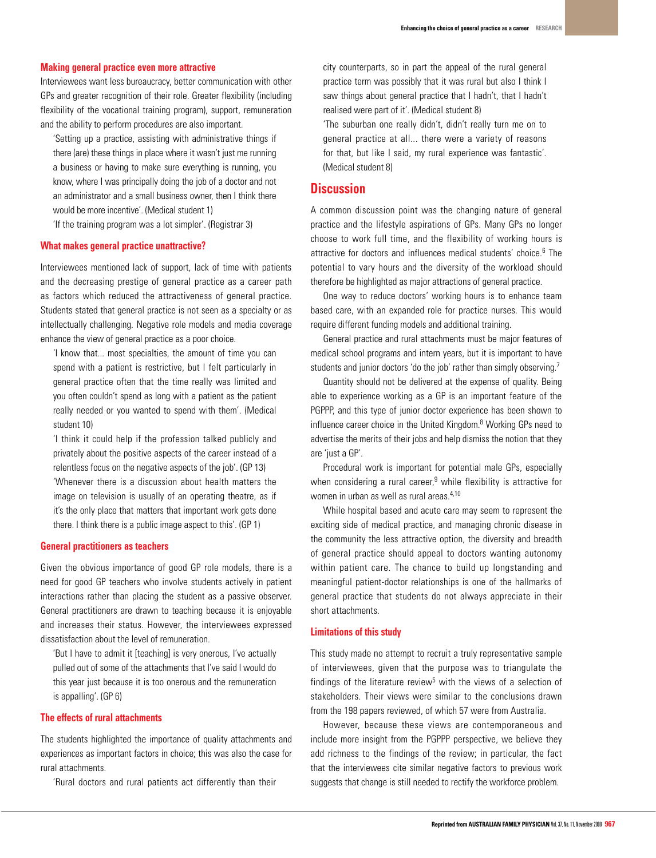#### **Making general practice even more attractive**

Interviewees want less bureaucracy, better communication with other GPs and greater recognition of their role. Greater flexibility (including flexibility of the vocational training program), support, remuneration and the ability to perform procedures are also important.

'Setting up a practice, assisting with administrative things if there (are) these things in place where it wasn't just me running a business or having to make sure everything is running, you know, where I was principally doing the job of a doctor and not an administrator and a small business owner, then I think there would be more incentive'. (Medical student 1)

'If the training program was a lot simpler'. (Registrar 3)

#### **What makes general practice unattractive?**

Interviewees mentioned lack of support, lack of time with patients and the decreasing prestige of general practice as a career path as factors which reduced the attractiveness of general practice. Students stated that general practice is not seen as a specialty or as intellectually challenging. Negative role models and media coverage enhance the view of general practice as a poor choice.

'I know that... most specialties, the amount of time you can spend with a patient is restrictive, but I felt particularly in general practice often that the time really was limited and you often couldn't spend as long with a patient as the patient really needed or you wanted to spend with them'. (Medical student 10)

'I think it could help if the profession talked publicly and privately about the positive aspects of the career instead of a relentless focus on the negative aspects of the job'. (GP 13) 'Whenever there is a discussion about health matters the image on television is usually of an operating theatre, as if it's the only place that matters that important work gets done

there. I think there is a public image aspect to this'. (GP 1)

## **General practitioners as teachers**

Given the obvious importance of good GP role models, there is a need for good GP teachers who involve students actively in patient interactions rather than placing the student as a passive observer. General practitioners are drawn to teaching because it is enjoyable and increases their status. However, the interviewees expressed dissatisfaction about the level of remuneration.

'But I have to admit it [teaching] is very onerous, I've actually pulled out of some of the attachments that I've said I would do this year just because it is too onerous and the remuneration is appalling'. (GP 6)

## **The effects of rural attachments**

The students highlighted the importance of quality attachments and experiences as important factors in choice; this was also the case for rural attachments.

'Rural doctors and rural patients act differently than their

city counterparts, so in part the appeal of the rural general practice term was possibly that it was rural but also I think I saw things about general practice that I hadn't, that I hadn't realised were part of it'. (Medical student 8) 'The suburban one really didn't, didn't really turn me on to

general practice at all... there were a variety of reasons for that, but like I said, my rural experience was fantastic'. (Medical student 8)

# **Discussion**

A common discussion point was the changing nature of general practice and the lifestyle aspirations of GPs. Many GPs no longer choose to work full time, and the flexibility of working hours is attractive for doctors and influences medical students' choice.<sup>6</sup> The potential to vary hours and the diversity of the workload should therefore be highlighted as major attractions of general practice.

One way to reduce doctors' working hours is to enhance team based care, with an expanded role for practice nurses. This would require different funding models and additional training.

General practice and rural attachments must be major features of medical school programs and intern years, but it is important to have students and junior doctors 'do the job' rather than simply observing.<sup>7</sup>

 Quantity should not be delivered at the expense of quality. Being able to experience working as a GP is an important feature of the PGPPP, and this type of junior doctor experience has been shown to influence career choice in the United Kingdom.8 Working GPs need to advertise the merits of their jobs and help dismiss the notion that they are 'just a GP'.

Procedural work is important for potential male GPs, especially when considering a rural career,<sup>9</sup> while flexibility is attractive for women in urban as well as rural areas.<sup>4,10</sup>

 While hospital based and acute care may seem to represent the exciting side of medical practice, and managing chronic disease in the community the less attractive option, the diversity and breadth of general practice should appeal to doctors wanting autonomy within patient care. The chance to build up longstanding and meaningful patient-doctor relationships is one of the hallmarks of general practice that students do not always appreciate in their short attachments.

## **Limitations of this study**

This study made no attempt to recruit a truly representative sample of interviewees, given that the purpose was to triangulate the findings of the literature review<sup>5</sup> with the views of a selection of stakeholders. Their views were similar to the conclusions drawn from the 198 papers reviewed, of which 57 were from Australia.

 However, because these views are contemporaneous and include more insight from the PGPPP perspective, we believe they add richness to the findings of the review; in particular, the fact that the interviewees cite similar negative factors to previous work suggests that change is still needed to rectify the workforce problem.